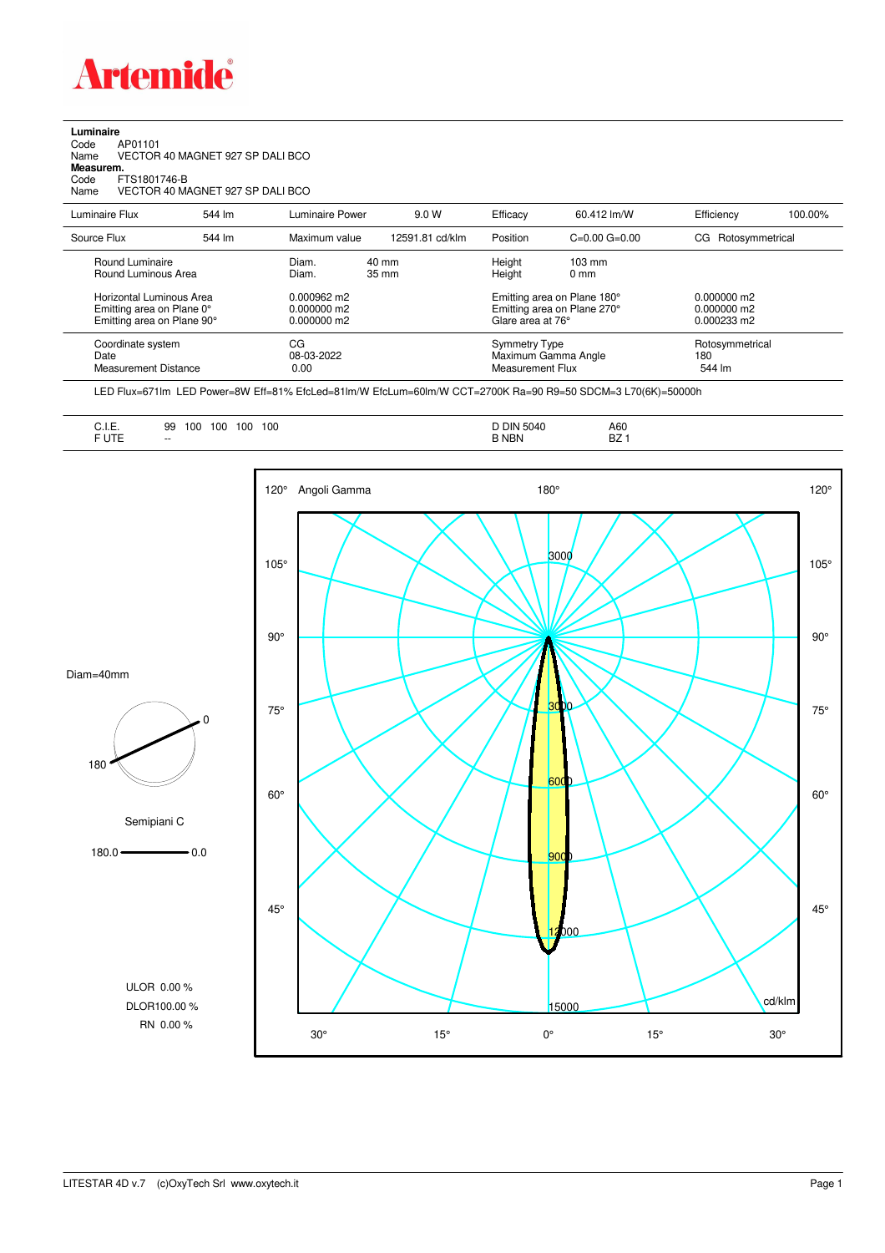

**Luminaire**<br>Code /<br>Name \ Code AP01101 Name VECTOR 40 MAGNET 927 SP DALI BCO **Measurem.** Code FTS1801746-B Name VECTOR 40 MAGNET 927 SP DALI BCO

| Luminaire Flux                                                     | 544 lm | Luminaire Power                        | 9.0 W                              | Efficacy | 60.412 lm/W                                                                           | Efficiency         | 100.00%                          |  |
|--------------------------------------------------------------------|--------|----------------------------------------|------------------------------------|----------|---------------------------------------------------------------------------------------|--------------------|----------------------------------|--|
| Source Flux                                                        | 544 lm | Maximum value                          | 12591.81 cd/klm                    | Position | $C=0.00$ $G=0.00$                                                                     | CG Rotosymmetrical |                                  |  |
| Round Luminaire<br>Round Luminous Area<br>Horizontal Luminous Area |        | Diam.<br>Diam.<br>$0.000962 \text{ m}$ | $40 \text{ mm}$<br>$35 \text{ mm}$ |          | Height<br>$103 \text{ mm}$<br>Height<br>$0 \text{ mm}$<br>Emitting area on Plane 180° |                    |                                  |  |
| Emitting area on Plane 0°<br>Emitting area on Plane 90°            |        | $0.000000$ m2<br>$0.000000$ m2         |                                    |          | Emitting area on Plane 270°<br>Glare area at 76°                                      |                    | $0.000000$ m2<br>$0.000233$ m2   |  |
| Coordinate system<br>Date<br><b>Measurement Distance</b>           |        | CG<br>08-03-2022<br>0.00               |                                    |          | Symmetry Type<br>Maximum Gamma Angle<br>Measurement Flux                              |                    | Rotosymmetrical<br>180<br>544 lm |  |

LED Flux=671lm LED Power=8W Eff=81% EfcLed=81lm/W EfcLum=60lm/W CCT=2700K Ra=90 R9=50 SDCM=3 L70(6K)=50000h